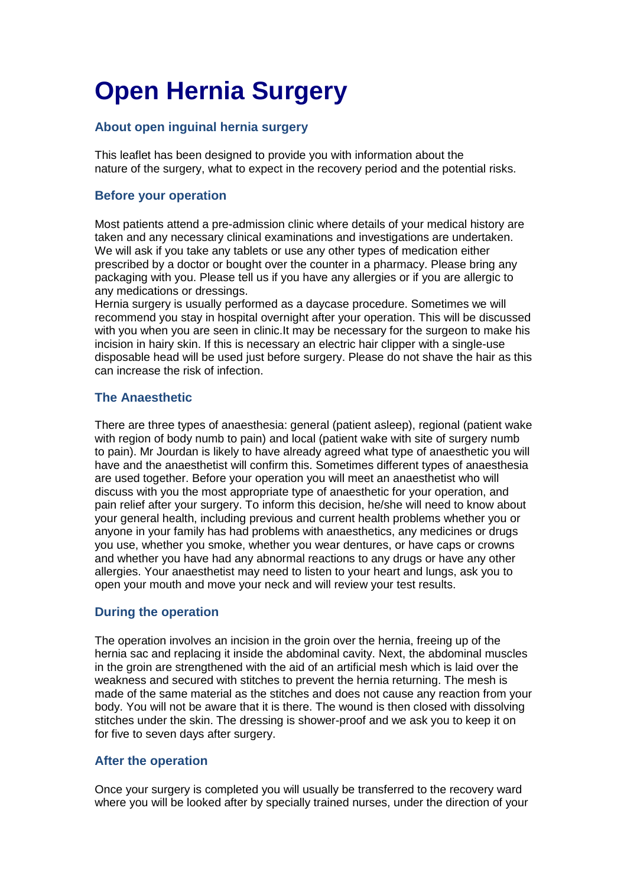# **Open Hernia Surgery**

## **About open inguinal hernia surgery**

This leaflet has been designed to provide you with information about the nature of the surgery, what to expect in the recovery period and the potential risks.

## **Before your operation**

Most patients attend a pre-admission clinic where details of your medical history are taken and any necessary clinical examinations and investigations are undertaken. We will ask if you take any tablets or use any other types of medication either prescribed by a doctor or bought over the counter in a pharmacy. Please bring any packaging with you. Please tell us if you have any allergies or if you are allergic to any medications or dressings.

Hernia surgery is usually performed as a daycase procedure. Sometimes we will recommend you stay in hospital overnight after your operation. This will be discussed with you when you are seen in clinic.It may be necessary for the surgeon to make his incision in hairy skin. If this is necessary an electric hair clipper with a single-use disposable head will be used just before surgery. Please do not shave the hair as this can increase the risk of infection.

## **The Anaesthetic**

There are three types of anaesthesia: general (patient asleep), regional (patient wake with region of body numb to pain) and local (patient wake with site of surgery numb to pain). Mr Jourdan is likely to have already agreed what type of anaesthetic you will have and the anaesthetist will confirm this. Sometimes different types of anaesthesia are used together. Before your operation you will meet an anaesthetist who will discuss with you the most appropriate type of anaesthetic for your operation, and pain relief after your surgery. To inform this decision, he/she will need to know about your general health, including previous and current health problems whether you or anyone in your family has had problems with anaesthetics, any medicines or drugs you use, whether you smoke, whether you wear dentures, or have caps or crowns and whether you have had any abnormal reactions to any drugs or have any other allergies. Your anaesthetist may need to listen to your heart and lungs, ask you to open your mouth and move your neck and will review your test results.

## **During the operation**

The operation involves an incision in the groin over the hernia, freeing up of the hernia sac and replacing it inside the abdominal cavity. Next, the abdominal muscles in the groin are strengthened with the aid of an artificial mesh which is laid over the weakness and secured with stitches to prevent the hernia returning. The mesh is made of the same material as the stitches and does not cause any reaction from your body. You will not be aware that it is there. The wound is then closed with dissolving stitches under the skin. The dressing is shower-proof and we ask you to keep it on for five to seven days after surgery.

## **After the operation**

Once your surgery is completed you will usually be transferred to the recovery ward where you will be looked after by specially trained nurses, under the direction of your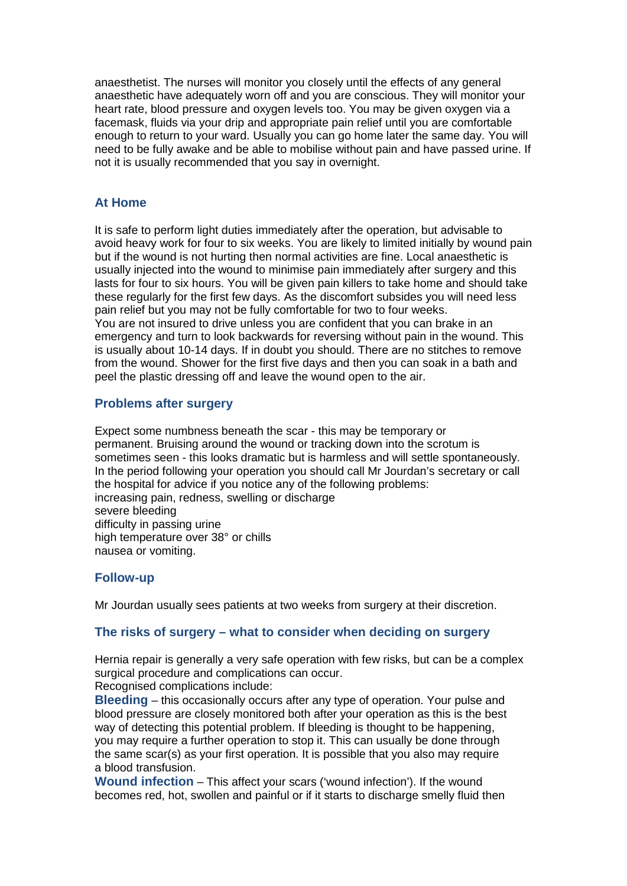anaesthetist. The nurses will monitor you closely until the effects of any general anaesthetic have adequately worn off and you are conscious. They will monitor your heart rate, blood pressure and oxygen levels too. You may be given oxygen via a facemask, fluids via your drip and appropriate pain relief until you are comfortable enough to return to your ward. Usually you can go home later the same day. You will need to be fully awake and be able to mobilise without pain and have passed urine. If not it is usually recommended that you say in overnight.

#### **At Home**

It is safe to perform light duties immediately after the operation, but advisable to avoid heavy work for four to six weeks. You are likely to limited initially by wound pain but if the wound is not hurting then normal activities are fine. Local anaesthetic is usually injected into the wound to minimise pain immediately after surgery and this lasts for four to six hours. You will be given pain killers to take home and should take these regularly for the first few days. As the discomfort subsides you will need less pain relief but you may not be fully comfortable for two to four weeks. You are not insured to drive unless you are confident that you can brake in an emergency and turn to look backwards for reversing without pain in the wound. This is usually about 10-14 days. If in doubt you should. There are no stitches to remove from the wound. Shower for the first five days and then you can soak in a bath and peel the plastic dressing off and leave the wound open to the air.

#### **Problems after surgery**

Expect some numbness beneath the scar - this may be temporary or permanent. Bruising around the wound or tracking down into the scrotum is sometimes seen - this looks dramatic but is harmless and will settle spontaneously. In the period following your operation you should call Mr Jourdan's secretary or call the hospital for advice if you notice any of the following problems: increasing pain, redness, swelling or discharge severe bleeding difficulty in passing urine high temperature over 38° or chills nausea or vomiting.

#### **Follow-up**

Mr Jourdan usually sees patients at two weeks from surgery at their discretion.

#### **The risks of surgery – what to consider when deciding on surgery**

Hernia repair is generally a very safe operation with few risks, but can be a complex surgical procedure and complications can occur.

Recognised complications include:

**Bleeding** – this occasionally occurs after any type of operation. Your pulse and blood pressure are closely monitored both after your operation as this is the best way of detecting this potential problem. If bleeding is thought to be happening, you may require a further operation to stop it. This can usually be done through the same scar(s) as your first operation. It is possible that you also may require a blood transfusion.

**Wound infection** –This affect your scars ('wound infection'). If the wound becomes red, hot, swollen and painful or if it starts to discharge smelly fluid then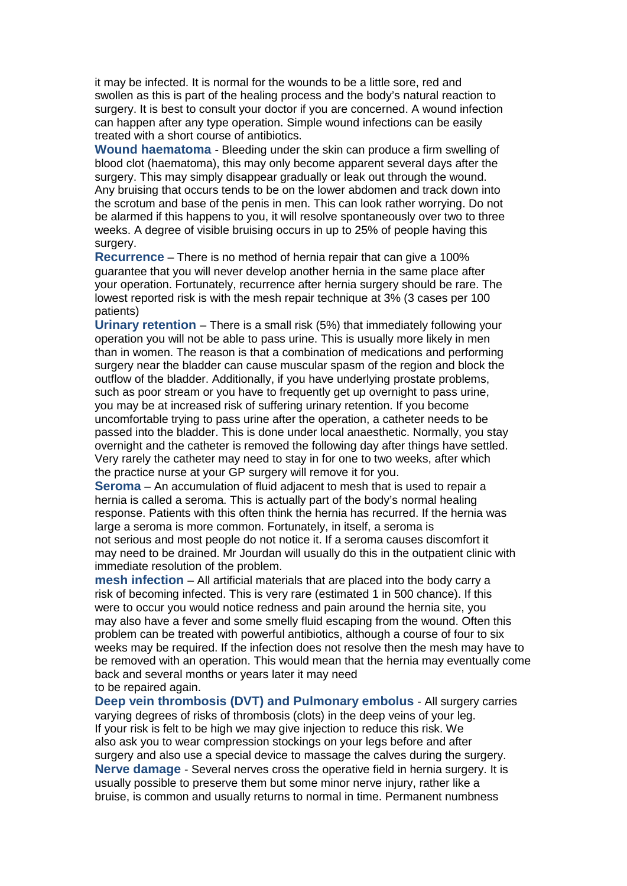it may be infected. It is normal for the wounds to be a little sore, red and swollen as this is part of the healing process and the body's natural reaction to surgery. It is best to consult your doctor if you are concerned. A wound infection can happen after any type operation. Simple wound infections can be easily treated with a short course of antibiotics.

**Wound haematoma** - Bleeding under the skin can produce a firm swelling of blood clot (haematoma), this may only become apparent several days after the surgery. This may simply disappear gradually or leak out through the wound. Any bruising that occurs tends to be on the lower abdomen and track down into the scrotum and base of the penis in men. This can look rather worrying. Do not be alarmed if this happens to you, it will resolve spontaneously over two to three weeks. A degree of visible bruising occurs in up to 25% of people having this surgery.

**Recurrence** – There is no method of hernia repair that can give a 100% guarantee that you will never develop another hernia in the same place after your operation. Fortunately, recurrence after hernia surgery should be rare. The lowest reported risk is with the mesh repair technique at 3% (3 cases per 100 patients)

**Urinary retention** – There is a small risk (5%) that immediately following your operation you will not be able to pass urine. This is usually more likely in men than in women. The reason is that a combination of medications and performing surgery near the bladder can cause muscular spasm of the region and block the outflow of the bladder. Additionally, if you have underlying prostate problems, such as poor stream or you have to frequently get up overnight to pass urine, you may be at increased risk of suffering urinary retention. If you become uncomfortable trying to pass urine after the operation, a catheter needs to be passed into the bladder. This is done under local anaesthetic. Normally, you stay overnight and the catheter is removed the following day after things have settled. Very rarely the catheter may need to stay in for one to two weeks, after which the practice nurse at your GP surgery will remove it for you.

**Seroma** – An accumulation of fluid adjacent to mesh that is used to repair a hernia is called a seroma. This is actually part of the body's normal healing response. Patients with this often think the hernia has recurred. If the hernia was large a seroma is more common. Fortunately, in itself, a seroma is not serious and most people do not notice it. If a seroma causes discomfort it may need to be drained. Mr Jourdan will usually do this in the outpatient clinic with immediate resolution of the problem.

**mesh infection** – All artificial materials that are placed into the body carry a risk of becoming infected. This is very rare (estimated 1 in 500 chance). If this were to occur you would notice redness and pain around the hernia site, you may also have a fever and some smelly fluid escaping from the wound. Often this problem can be treated with powerful antibiotics, although a course of four to six weeks may be required. If the infection does not resolve then the mesh may have to be removed with an operation. This would mean that the hernia may eventually come back and several months or years later it may need to be repaired again.

**Deep vein thrombosis (DVT) and Pulmonary embolus** - All surgery carries varying degrees of risks of thrombosis (clots) in the deep veins of your leg. If your risk is felt to be high we may give injection to reduce this risk. We also ask you to wear compression stockings on your legs before and after surgery and also use a special device to massage the calves during the surgery. **Nerve damage** - Several nerves cross the operative field in hernia surgery. It is usually possible to preserve them but some minor nerve injury, rather like a bruise, is common and usually returns to normal in time. Permanent numbness